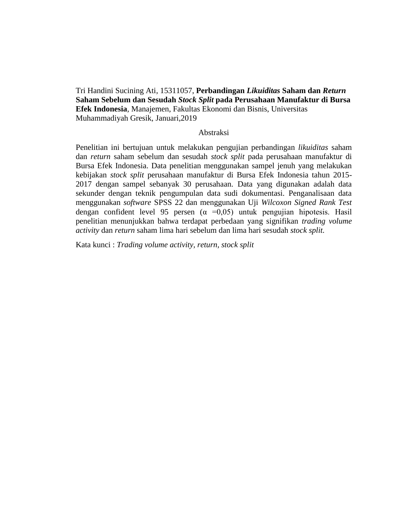Tri Handini Sucining Ati, 15311057, **Perbandingan** *Likuiditas* **Saham dan** *Return*  **Saham Sebelum dan Sesudah** *Stock Split* **pada Perusahaan Manufaktur di Bursa Efek Indonesia***,* Manajemen, Fakultas Ekonomi dan Bisnis, Universitas Muhammadiyah Gresik, Januari,2019

## Abstraksi

Penelitian ini bertujuan untuk melakukan pengujian perbandingan *likuiditas* saham dan *return* saham sebelum dan sesudah *stock split* pada perusahaan manufaktur di Bursa Efek Indonesia. Data penelitian menggunakan sampel jenuh yang melakukan kebijakan *stock split* perusahaan manufaktur di Bursa Efek Indonesia tahun 2015- 2017 dengan sampel sebanyak 30 perusahaan. Data yang digunakan adalah data sekunder dengan teknik pengumpulan data sudi dokumentasi. Penganalisaan data menggunakan *software* SPSS 22 dan menggunakan Uji *Wilcoxon Signed Rank Test* dengan confident level 95 persen ( $\alpha$  =0,05) untuk pengujian hipotesis. Hasil penelitian menunjukkan bahwa terdapat perbedaan yang signifikan *trading volume activity* dan *return* saham lima hari sebelum dan lima hari sesudah *stock split.* 

Kata kunci : *Trading volume activity, return, stock split*